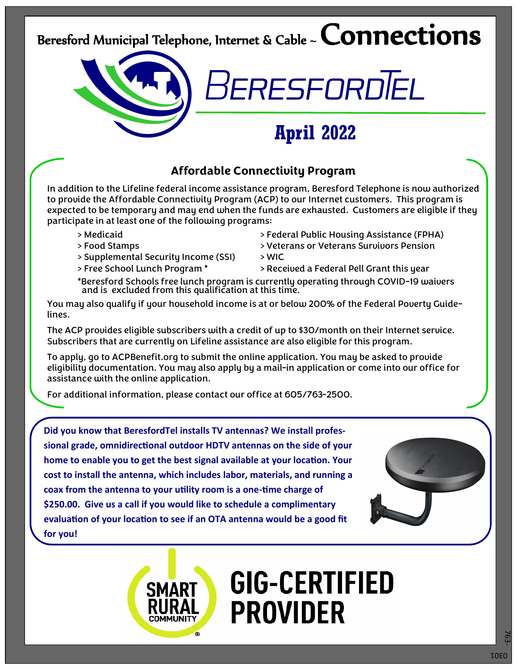## Beresford Municipal Telephone, Internet & Cable ~  ${\sf Connections}$

### **Affordable Connectivity Program**

In addition to the Lifeline federal income assistance program, Beresford Telephone is now authorized to provide the Affordable Connectivity Program (ACP) to our Internet customers. This program is expected to be temporary and may end when the funds are exhausted. Customers are eligible if they participate in at least one of the following programs:

- 
- 
- > Supplemental Security Income (SSI) > WIC
- 
- > Medicaid > Federal Public Housing Assistance (FPHA)
- > Food Stamps > Veterans or Veterans Survivors Pension

**April 2022**

BERESFORDĪEL

- 
- > Free School Lunch Program \* > > Received a Federal Pell Grant this year
- \*Beresford Schools free lunch program is currently operating through COVID-19 waivers and is excluded from this qualification at this time.

You may also qualify if your household income is at or below 200% of the Federal Poverty Guidelines.

The ACP provides eligible subscribers with a credit of up to \$30/month on their Internet service. Subscribers that are currently on Lifeline assistance are also eligible for this program.

To apply, go to ACPBenefit.org to submit the online application. You may be asked to provide eligibility documentation. You may also apply by a mail-in application or come into our office for assistance with the online application.

For additional information, please contact our office at 605/763-2500.

**Did you know that BeresfordTel installs TV antennas? We install professional grade, omnidirectional outdoor HDTV antennas on the side of your home to enable you to get the best signal available at your location. Your cost to install the antenna, which includes labor, materials, and running a coax from the antenna to your utility room is a one-time charge of \$250.00. Give us a call if you would like to schedule a complimentary evaluation of your location to see if an OTA antenna would be a good fit for you!** 



# **GIG-CERTIFIED PROVIDER**